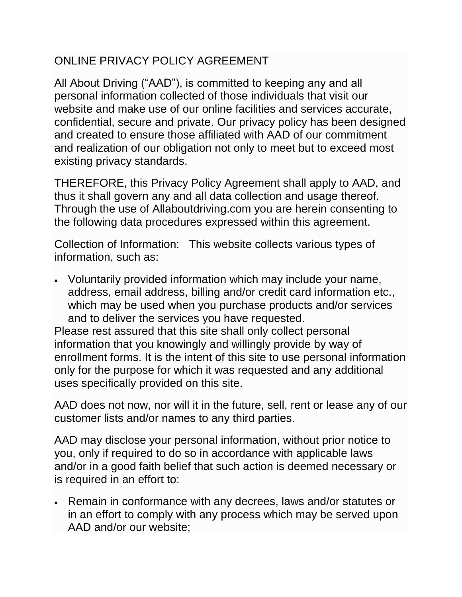## ONLINE PRIVACY POLICY AGREEMENT

All About Driving ("AAD"), is committed to keeping any and all personal information collected of those individuals that visit our website and make use of our online facilities and services accurate, confidential, secure and private. Our privacy policy has been designed and created to ensure those affiliated with AAD of our commitment and realization of our obligation not only to meet but to exceed most existing privacy standards.

THEREFORE, this Privacy Policy Agreement shall apply to AAD, and thus it shall govern any and all data collection and usage thereof. Through the use of Allaboutdriving.com you are herein consenting to the following data procedures expressed within this agreement.

Collection of Information: This website collects various types of information, such as:

 Voluntarily provided information which may include your name, address, email address, billing and/or credit card information etc., which may be used when you purchase products and/or services and to deliver the services you have requested.

Please rest assured that this site shall only collect personal information that you knowingly and willingly provide by way of enrollment forms. It is the intent of this site to use personal information only for the purpose for which it was requested and any additional uses specifically provided on this site.

AAD does not now, nor will it in the future, sell, rent or lease any of our customer lists and/or names to any third parties.

AAD may disclose your personal information, without prior notice to you, only if required to do so in accordance with applicable laws and/or in a good faith belief that such action is deemed necessary or is required in an effort to:

 Remain in conformance with any decrees, laws and/or statutes or in an effort to comply with any process which may be served upon AAD and/or our website;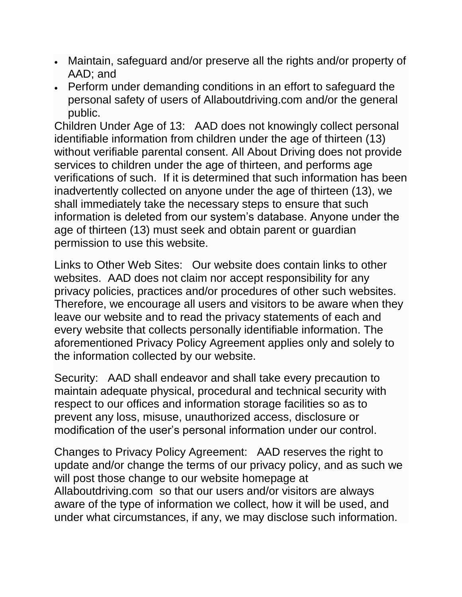- Maintain, safeguard and/or preserve all the rights and/or property of AAD; and
- Perform under demanding conditions in an effort to safeguard the personal safety of users of Allaboutdriving.com and/or the general public.

Children Under Age of 13: AAD does not knowingly collect personal identifiable information from children under the age of thirteen (13) without verifiable parental consent. All About Driving does not provide services to children under the age of thirteen, and performs age verifications of such. If it is determined that such information has been inadvertently collected on anyone under the age of thirteen (13), we shall immediately take the necessary steps to ensure that such information is deleted from our system's database. Anyone under the age of thirteen (13) must seek and obtain parent or guardian permission to use this website.

Links to Other Web Sites: Our website does contain links to other websites. AAD does not claim nor accept responsibility for any privacy policies, practices and/or procedures of other such websites. Therefore, we encourage all users and visitors to be aware when they leave our website and to read the privacy statements of each and every website that collects personally identifiable information. The aforementioned Privacy Policy Agreement applies only and solely to the information collected by our website.

Security: AAD shall endeavor and shall take every precaution to maintain adequate physical, procedural and technical security with respect to our offices and information storage facilities so as to prevent any loss, misuse, unauthorized access, disclosure or modification of the user's personal information under our control.

Changes to Privacy Policy Agreement: AAD reserves the right to update and/or change the terms of our privacy policy, and as such we will post those change to our website homepage at Allaboutdriving.com so that our users and/or visitors are always aware of the type of information we collect, how it will be used, and under what circumstances, if any, we may disclose such information.